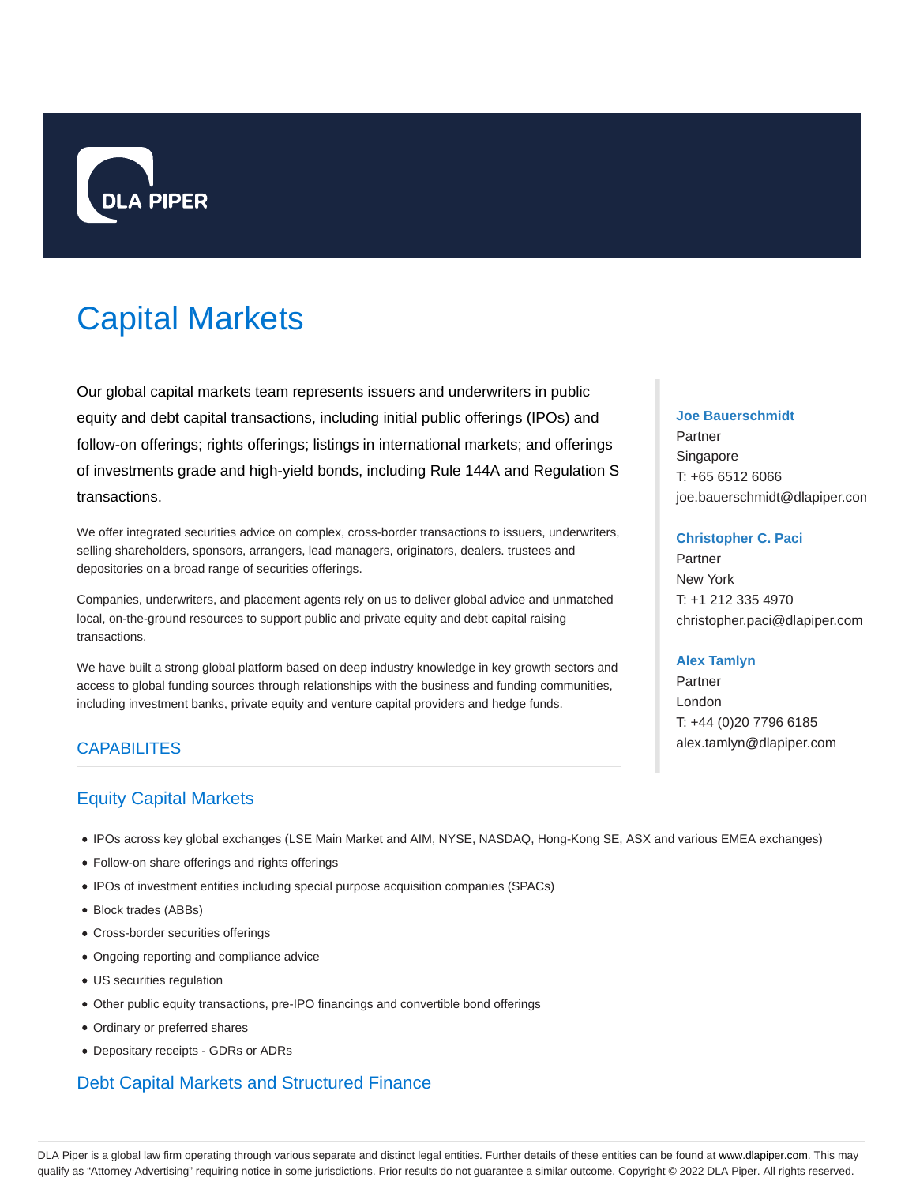

# Capital Markets

Our global capital markets team represents issuers and underwriters in public equity and debt capital transactions, including initial public offerings (IPOs) and follow-on offerings; rights offerings; listings in international markets; and offerings of investments grade and high-yield bonds, including Rule 144A and Regulation S transactions.

We offer integrated securities advice on complex, cross-border transactions to issuers, underwriters, selling shareholders, sponsors, arrangers, lead managers, originators, dealers. trustees and depositories on a broad range of securities offerings.

Companies, underwriters, and placement agents rely on us to deliver global advice and unmatched local, on-the-ground resources to support public and private equity and debt capital raising transactions.

We have built a strong global platform based on deep industry knowledge in key growth sectors and access to global funding sources through relationships with the business and funding communities, including investment banks, private equity and venture capital providers and hedge funds.

# **CAPABILITES**

# Equity Capital Markets

- IPOs across key global exchanges (LSE Main Market and AIM, NYSE, NASDAQ, Hong-Kong SE, ASX and various EMEA exchanges)
- Follow-on share offerings and rights offerings
- IPOs of investment entities including special purpose acquisition companies (SPACs)
- Block trades (ABBs)
- Cross-border securities offerings
- Ongoing reporting and compliance advice
- US securities regulation
- Other public equity transactions, pre-IPO financings and convertible bond offerings
- Ordinary or preferred shares
- Depositary receipts GDRs or ADRs

# Debt Capital Markets and Structured Finance

# **Joe Bauerschmidt**

Partner Singapore T: +65 6512 6066 joe.bauerschmidt@dlapiper.com

## **Christopher C. Paci**

Partner New York T: +1 212 335 4970 christopher.paci@dlapiper.com

# **Alex Tamlyn**

Partner London T: +44 (0)20 7796 6185 alex.tamlyn@dlapiper.com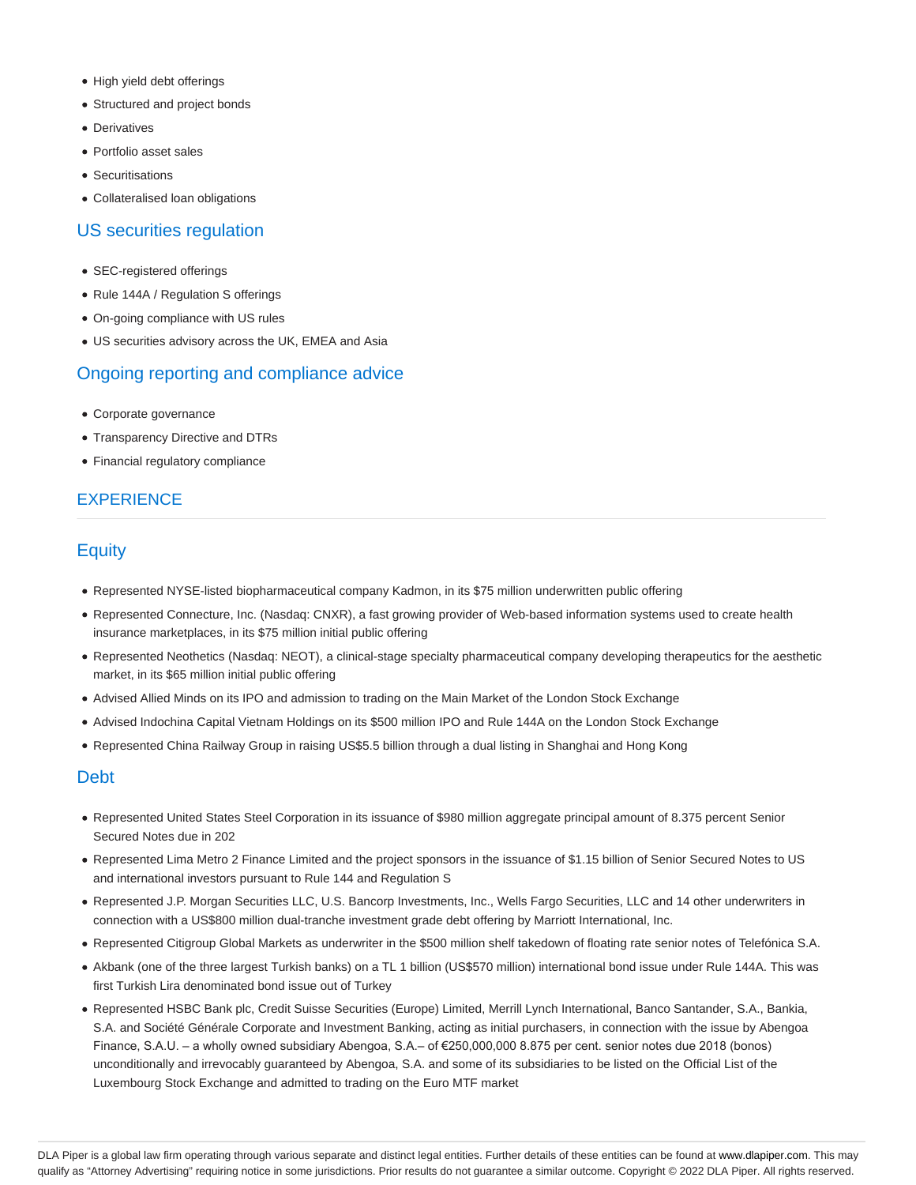- High yield debt offerings
- Structured and project bonds
- **•** Derivatives
- Portfolio asset sales
- Securitisations
- Collateralised loan obligations

# US securities regulation

- SEC-registered offerings
- Rule 144A / Regulation S offerings
- On-going compliance with US rules
- US securities advisory across the UK, EMEA and Asia

# Ongoing reporting and compliance advice

- Corporate governance
- Transparency Directive and DTRs
- Financial regulatory compliance

# **EXPERIENCE**

# **Equity**

- Represented NYSE-listed biopharmaceutical company Kadmon, in its \$75 million underwritten public offering
- Represented Connecture, Inc. (Nasdaq: CNXR), a fast growing provider of Web-based information systems used to create health insurance marketplaces, in its \$75 million initial public offering
- Represented Neothetics (Nasdaq: NEOT), a clinical-stage specialty pharmaceutical company developing therapeutics for the aesthetic market, in its \$65 million initial public offering
- Advised Allied Minds on its IPO and admission to trading on the Main Market of the London Stock Exchange
- Advised Indochina Capital Vietnam Holdings on its \$500 million IPO and Rule 144A on the London Stock Exchange
- Represented China Railway Group in raising US\$5.5 billion through a dual listing in Shanghai and Hong Kong

# Debt

- Represented United States Steel Corporation in its issuance of \$980 million aggregate principal amount of 8.375 percent Senior Secured Notes due in 202
- Represented Lima Metro 2 Finance Limited and the project sponsors in the issuance of \$1.15 billion of Senior Secured Notes to US and international investors pursuant to Rule 144 and Regulation S
- Represented J.P. Morgan Securities LLC, U.S. Bancorp Investments, Inc., Wells Fargo Securities, LLC and 14 other underwriters in connection with a US\$800 million dual-tranche investment grade debt offering by Marriott International, Inc.
- Represented Citigroup Global Markets as underwriter in the \$500 million shelf takedown of floating rate senior notes of Telefónica S.A.
- Akbank (one of the three largest Turkish banks) on a TL 1 billion (US\$570 million) international bond issue under Rule 144A. This was first Turkish Lira denominated bond issue out of Turkey
- Represented HSBC Bank plc, Credit Suisse Securities (Europe) Limited, Merrill Lynch International, Banco Santander, S.A., Bankia, S.A. and Société Générale Corporate and Investment Banking, acting as initial purchasers, in connection with the issue by Abengoa Finance, S.A.U. – a wholly owned subsidiary Abengoa, S.A.– of €250,000,000 8.875 per cent. senior notes due 2018 (bonos) unconditionally and irrevocably guaranteed by Abengoa, S.A. and some of its subsidiaries to be listed on the Official List of the Luxembourg Stock Exchange and admitted to trading on the Euro MTF market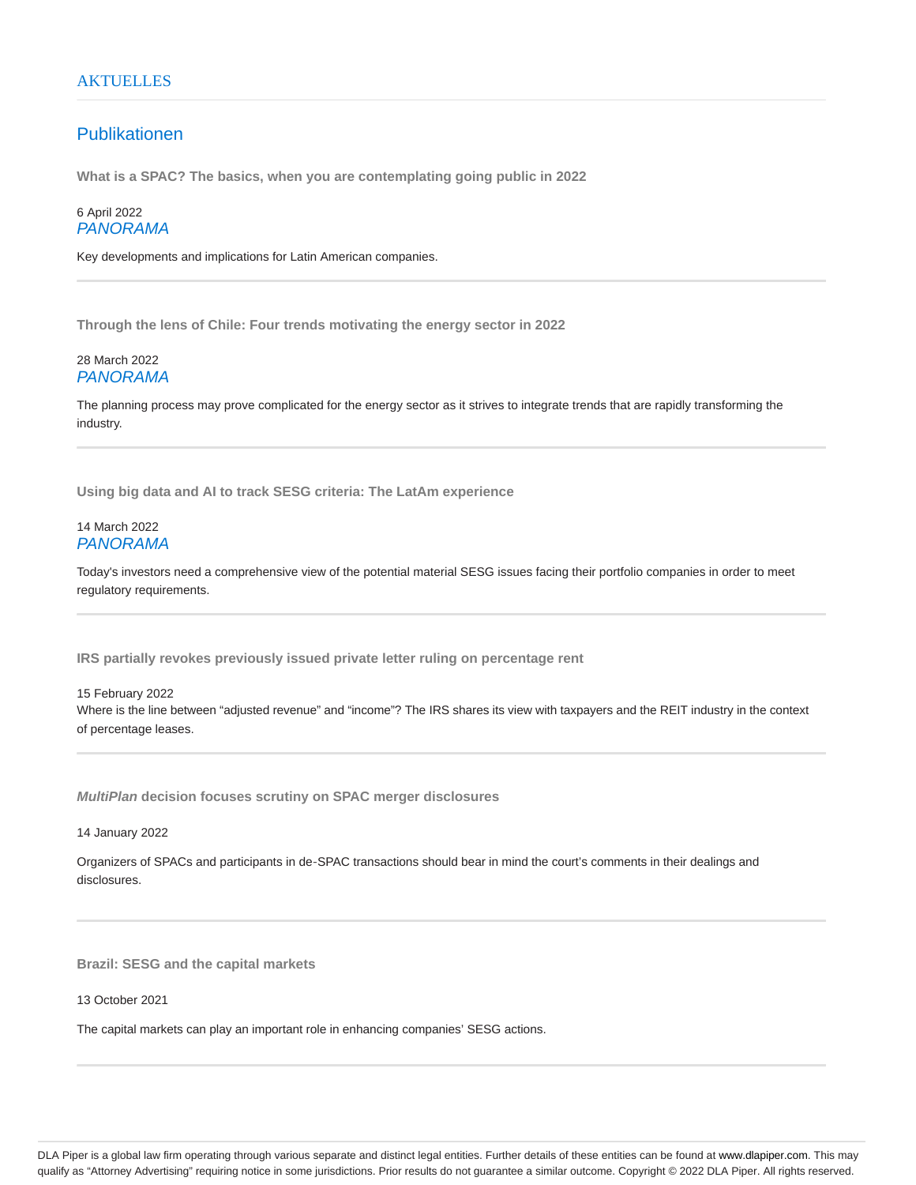# **AKTUELLES**

# Publikationen

**What is a SPAC? The basics, when you are contemplating going public in 2022**

6 April 2022 PANORAMA

Key developments and implications for Latin American companies.

**Through the lens of Chile: Four trends motivating the energy sector in 2022**

# 28 March 2022 PANORAMA

The planning process may prove complicated for the energy sector as it strives to integrate trends that are rapidly transforming the industry.

**Using big data and AI to track SESG criteria: The LatAm experience**

# 14 March 2022 PANORAMA

Today's investors need a comprehensive view of the potential material SESG issues facing their portfolio companies in order to meet regulatory requirements.

**IRS partially revokes previously issued private letter ruling on percentage rent**

15 February 2022 Where is the line between "adjusted revenue" and "income"? The IRS shares its view with taxpayers and the REIT industry in the context of percentage leases.

**MultiPlan decision focuses scrutiny on SPAC merger disclosures**

14 January 2022

Organizers of SPACs and participants in de‑SPAC transactions should bear in mind the court's comments in their dealings and disclosures.

**Brazil: SESG and the capital markets**

13 October 2021

The capital markets can play an important role in enhancing companies' SESG actions.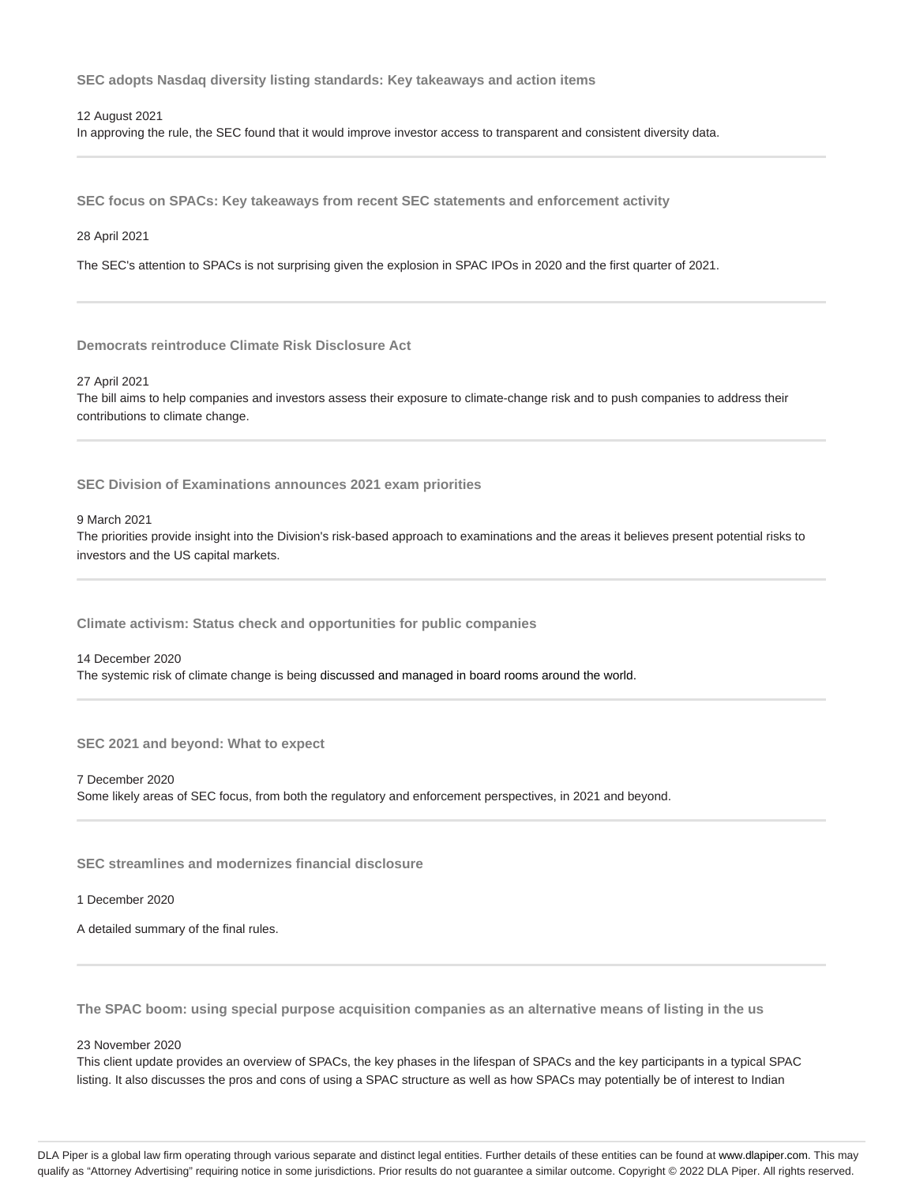**SEC adopts Nasdaq diversity listing standards: Key takeaways and action items**

12 August 2021

In approving the rule, the SEC found that it would improve investor access to transparent and consistent diversity data.

**SEC focus on SPACs: Key takeaways from recent SEC statements and enforcement activity**

28 April 2021

The SEC's attention to SPACs is not surprising given the explosion in SPAC IPOs in 2020 and the first quarter of 2021.

**Democrats reintroduce Climate Risk Disclosure Act**

27 April 2021

The bill aims to help companies and investors assess their exposure to climate-change risk and to push companies to address their contributions to climate change.

**SEC Division of Examinations announces 2021 exam priorities**

9 March 2021

The priorities provide insight into the Division's risk-based approach to examinations and the areas it believes present potential risks to investors and the US capital markets.

**Climate activism: Status check and opportunities for public companies**

14 December 2020

The systemic risk of climate change is being discussed and managed in board rooms around the world.

**SEC 2021 and beyond: What to expect**

7 December 2020 Some likely areas of SEC focus, from both the regulatory and enforcement perspectives, in 2021 and beyond.

**SEC streamlines and modernizes financial disclosure**

1 December 2020

A detailed summary of the final rules.

**The SPAC boom: using special purpose acquisition companies as an alternative means of listing in the us**

## 23 November 2020

This client update provides an overview of SPACs, the key phases in the lifespan of SPACs and the key participants in a typical SPAC listing. It also discusses the pros and cons of using a SPAC structure as well as how SPACs may potentially be of interest to Indian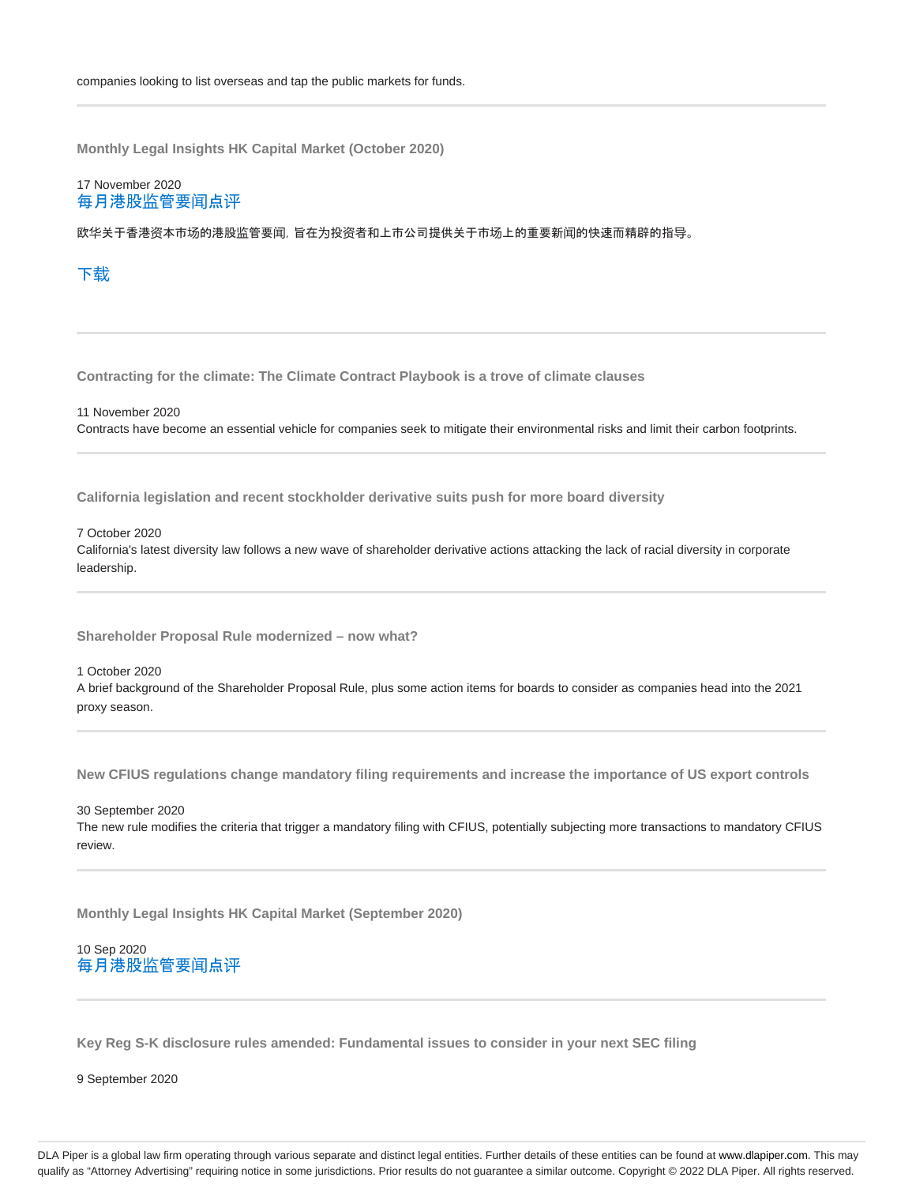**Monthly Legal Insights HK Capital Market (October 2020)**

# 17 November 2020 每月港股监管要闻点评

欧华关于香港资本市场的港股监管要闻,旨在为投资者和上市公司提供关于市场上的重要新闻的快速而精辟的指导。

# 下载

**Contracting for the climate: The Climate Contract Playbook is a trove of climate clauses**

11 November 2020 Contracts have become an essential vehicle for companies seek to mitigate their environmental risks and limit their carbon footprints.

**California legislation and recent stockholder derivative suits push for more board diversity**

# 7 October 2020

California's latest diversity law follows a new wave of shareholder derivative actions attacking the lack of racial diversity in corporate leadership.

**Shareholder Proposal Rule modernized – now what?**

#### 1 October 2020

A brief background of the Shareholder Proposal Rule, plus some action items for boards to consider as companies head into the 2021 proxy season.

**New CFIUS regulations change mandatory filing requirements and increase the importance of US export controls**

30 September 2020 The new rule modifies the criteria that trigger a mandatory filing with CFIUS, potentially subjecting more transactions to mandatory CFIUS review.

**Monthly Legal Insights HK Capital Market (September 2020)**

# 10 Sep 2020 每月港股监管要闻点评

**Key Reg S-K disclosure rules amended: Fundamental issues to consider in your next SEC filing**

9 September 2020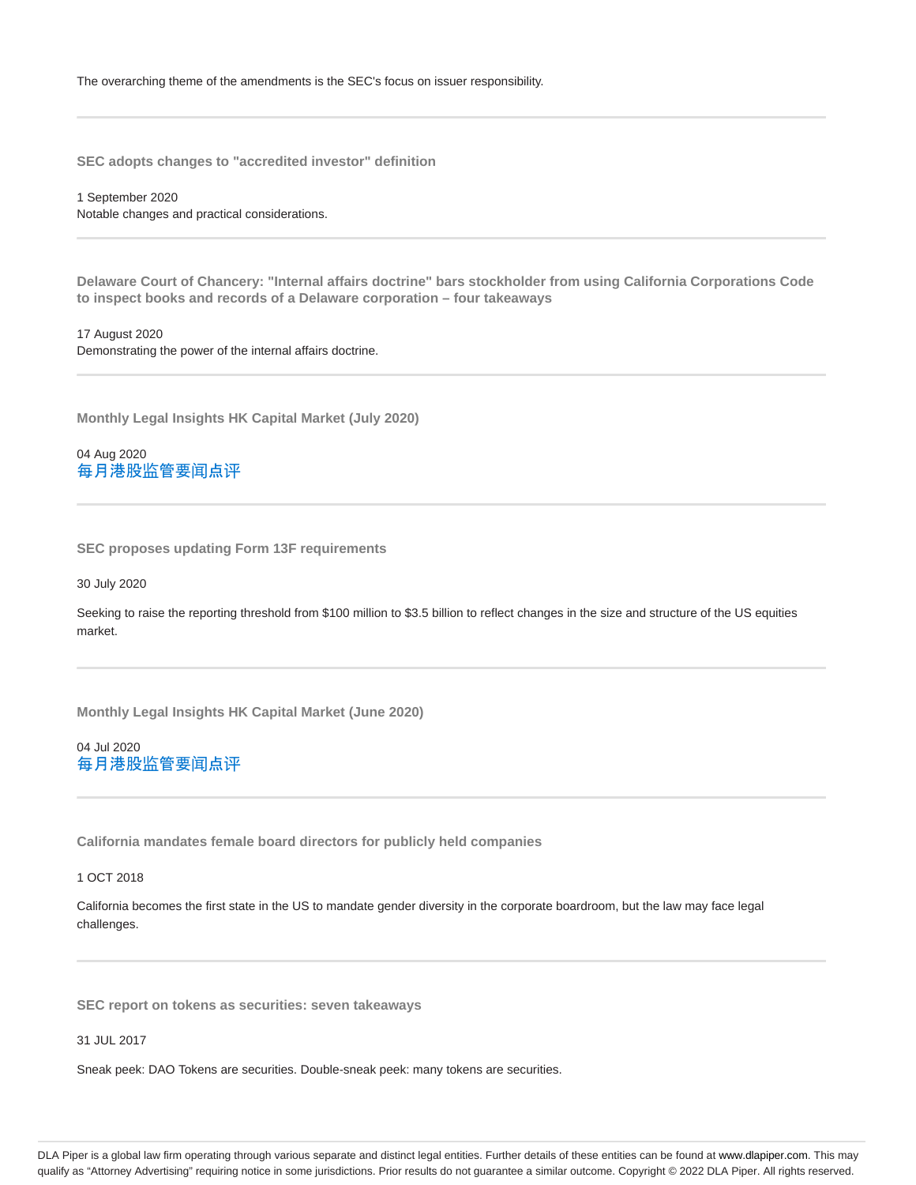**SEC adopts changes to "accredited investor" definition**

1 September 2020 Notable changes and practical considerations.

**Delaware Court of Chancery: "Internal affairs doctrine" bars stockholder from using California Corporations Code to inspect books and records of a Delaware corporation – four takeaways**

17 August 2020 Demonstrating the power of the internal affairs doctrine.

**Monthly Legal Insights HK Capital Market (July 2020)**

04 Aug 2020 每月港股监管要闻点评

**SEC proposes updating Form 13F requirements**

30 July 2020

Seeking to raise the reporting threshold from \$100 million to \$3.5 billion to reflect changes in the size and structure of the US equities market.

**Monthly Legal Insights HK Capital Market (June 2020)**

04 Jul 2020 每月港股监管要闻点评

**California mandates female board directors for publicly held companies**

1 OCT 2018

California becomes the first state in the US to mandate gender diversity in the corporate boardroom, but the law may face legal challenges.

**SEC report on tokens as securities: seven takeaways**

31 JUL 2017

Sneak peek: DAO Tokens are securities. Double-sneak peek: many tokens are securities.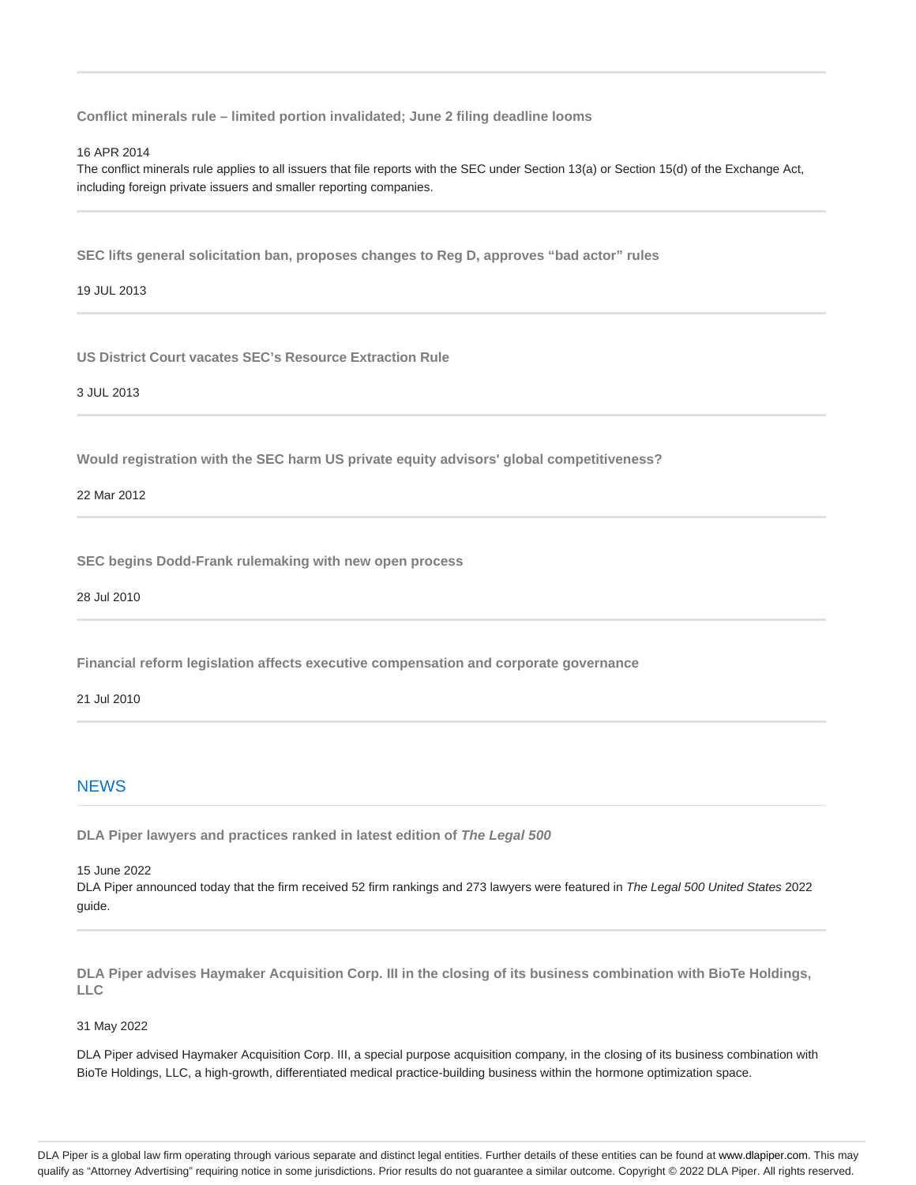**Conflict minerals rule – limited portion invalidated; June 2 filing deadline looms**

#### 16 APR 2014

The conflict minerals rule applies to all issuers that file reports with the SEC under Section 13(a) or Section 15(d) of the Exchange Act, including foreign private issuers and smaller reporting companies.

**SEC lifts general solicitation ban, proposes changes to Reg D, approves "bad actor" rules**

19 JUL 2013

**US District Court vacates SEC's Resource Extraction Rule**

3 JUL 2013

**Would registration with the SEC harm US private equity advisors' global competitiveness?**

22 Mar 2012

**SEC begins Dodd-Frank rulemaking with new open process**

28 Jul 2010

**Financial reform legislation affects executive compensation and corporate governance**

#### 21 Jul 2010

# **NEWS**

**DLA Piper lawyers and practices ranked in latest edition of The Legal 500**

15 June 2022

DLA Piper announced today that the firm received 52 firm rankings and 273 lawyers were featured in The Legal 500 United States 2022 guide.

**DLA Piper advises Haymaker Acquisition Corp. III in the closing of its business combination with BioTe Holdings, LLC**

31 May 2022

DLA Piper advised Haymaker Acquisition Corp. III, a special purpose acquisition company, in the closing of its business combination with BioTe Holdings, LLC, a high-growth, differentiated medical practice-building business within the hormone optimization space.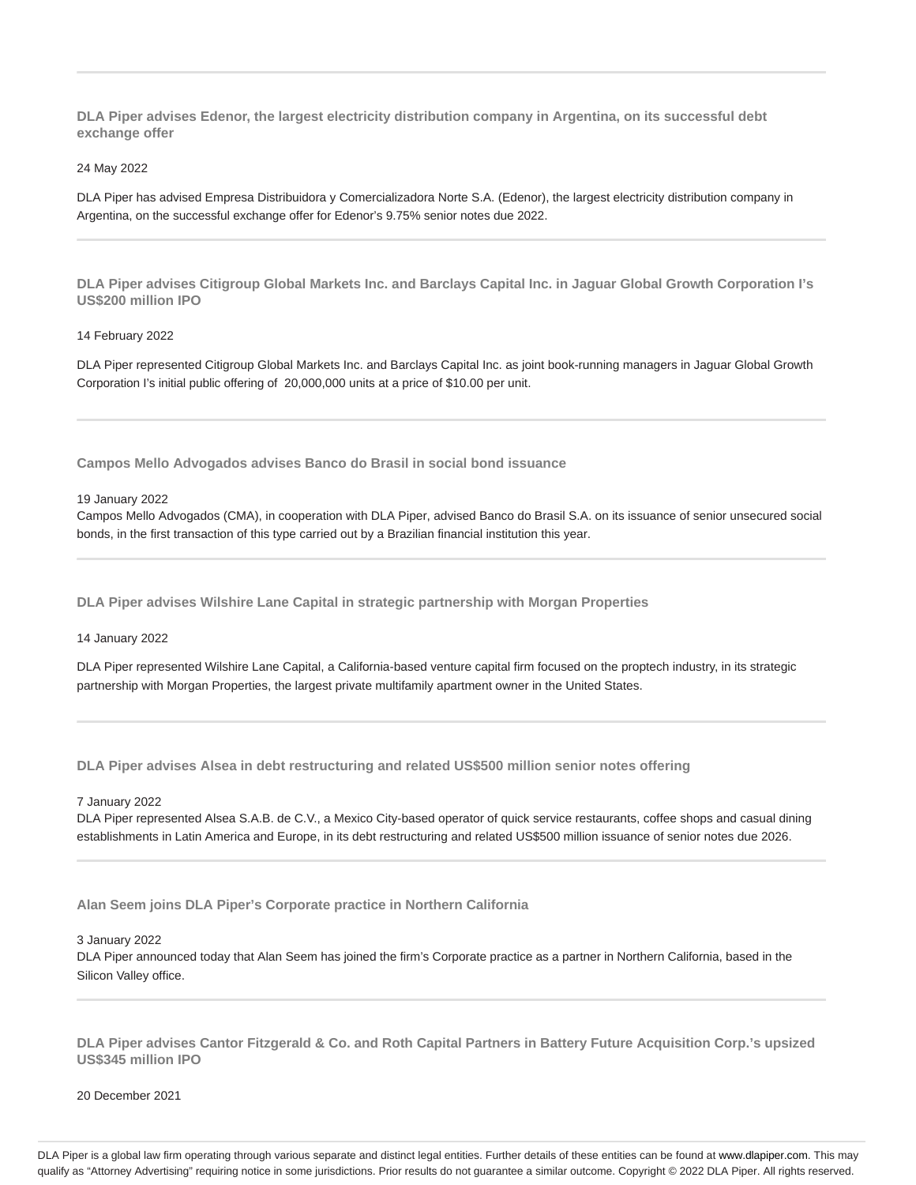**DLA Piper advises Edenor, the largest electricity distribution company in Argentina, on its successful debt exchange offer**

#### 24 May 2022

DLA Piper has advised Empresa Distribuidora y Comercializadora Norte S.A. (Edenor), the largest electricity distribution company in Argentina, on the successful exchange offer for Edenor's 9.75% senior notes due 2022.

**DLA Piper advises Citigroup Global Markets Inc. and Barclays Capital Inc. in Jaguar Global Growth Corporation I's US\$200 million IPO**

# 14 February 2022

DLA Piper represented Citigroup Global Markets Inc. and Barclays Capital Inc. as joint book-running managers in Jaguar Global Growth Corporation I's initial public offering of 20,000,000 units at a price of \$10.00 per unit.

**Campos Mello Advogados advises Banco do Brasil in social bond issuance**

#### 19 January 2022

Campos Mello Advogados (CMA), in cooperation with DLA Piper, advised Banco do Brasil S.A. on its issuance of senior unsecured social bonds, in the first transaction of this type carried out by a Brazilian financial institution this year.

**DLA Piper advises Wilshire Lane Capital in strategic partnership with Morgan Properties**

14 January 2022

DLA Piper represented Wilshire Lane Capital, a California-based venture capital firm focused on the proptech industry, in its strategic partnership with Morgan Properties, the largest private multifamily apartment owner in the United States.

**DLA Piper advises Alsea in debt restructuring and related US\$500 million senior notes offering**

#### 7 January 2022

DLA Piper represented Alsea S.A.B. de C.V., a Mexico City-based operator of quick service restaurants, coffee shops and casual dining establishments in Latin America and Europe, in its debt restructuring and related US\$500 million issuance of senior notes due 2026.

**Alan Seem joins DLA Piper's Corporate practice in Northern California**

#### 3 January 2022

DLA Piper announced today that Alan Seem has joined the firm's Corporate practice as a partner in Northern California, based in the Silicon Valley office.

**DLA Piper advises Cantor Fitzgerald & Co. and Roth Capital Partners in Battery Future Acquisition Corp.'s upsized US\$345 million IPO**

20 December 2021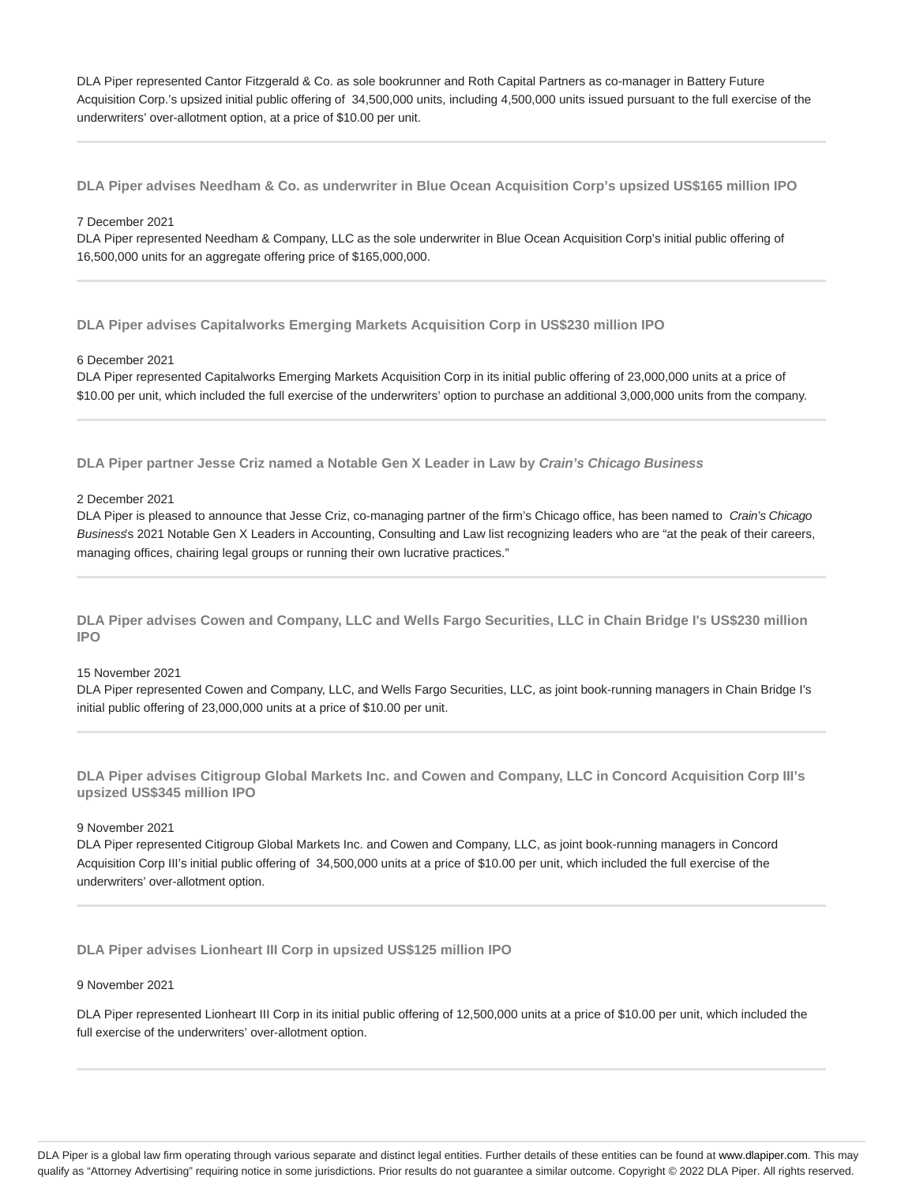DLA Piper represented Cantor Fitzgerald & Co. as sole bookrunner and Roth Capital Partners as co-manager in Battery Future Acquisition Corp.'s upsized initial public offering of 34,500,000 units, including 4,500,000 units issued pursuant to the full exercise of the underwriters' over-allotment option, at a price of \$10.00 per unit.

**DLA Piper advises Needham & Co. as underwriter in Blue Ocean Acquisition Corp's upsized US\$165 million IPO**

## 7 December 2021

DLA Piper represented Needham & Company, LLC as the sole underwriter in Blue Ocean Acquisition Corp's initial public offering of 16,500,000 units for an aggregate offering price of \$165,000,000.

**DLA Piper advises Capitalworks Emerging Markets Acquisition Corp in US\$230 million IPO**

## 6 December 2021

DLA Piper represented Capitalworks Emerging Markets Acquisition Corp in its initial public offering of 23,000,000 units at a price of \$10.00 per unit, which included the full exercise of the underwriters' option to purchase an additional 3,000,000 units from the company.

**DLA Piper partner Jesse Criz named a Notable Gen X Leader in Law by Crain's Chicago Business**

#### 2 December 2021

DLA Piper is pleased to announce that Jesse Criz, co-managing partner of the firm's Chicago office, has been named to Crain's Chicago Business's 2021 Notable Gen X Leaders in Accounting, Consulting and Law list recognizing leaders who are "at the peak of their careers, managing offices, chairing legal groups or running their own lucrative practices."

**DLA Piper advises Cowen and Company, LLC and Wells Fargo Securities, LLC in Chain Bridge I's US\$230 million IPO**

# 15 November 2021

DLA Piper represented Cowen and Company, LLC, and Wells Fargo Securities, LLC, as joint book-running managers in Chain Bridge I's initial public offering of 23,000,000 units at a price of \$10.00 per unit.

**DLA Piper advises Citigroup Global Markets Inc. and Cowen and Company, LLC in Concord Acquisition Corp III's upsized US\$345 million IPO**

#### 9 November 2021

DLA Piper represented Citigroup Global Markets Inc. and Cowen and Company, LLC, as joint book-running managers in Concord Acquisition Corp III's initial public offering of 34,500,000 units at a price of \$10.00 per unit, which included the full exercise of the underwriters' over-allotment option.

**DLA Piper advises Lionheart III Corp in upsized US\$125 million IPO**

9 November 2021

DLA Piper represented Lionheart III Corp in its initial public offering of 12,500,000 units at a price of \$10.00 per unit, which included the full exercise of the underwriters' over-allotment option.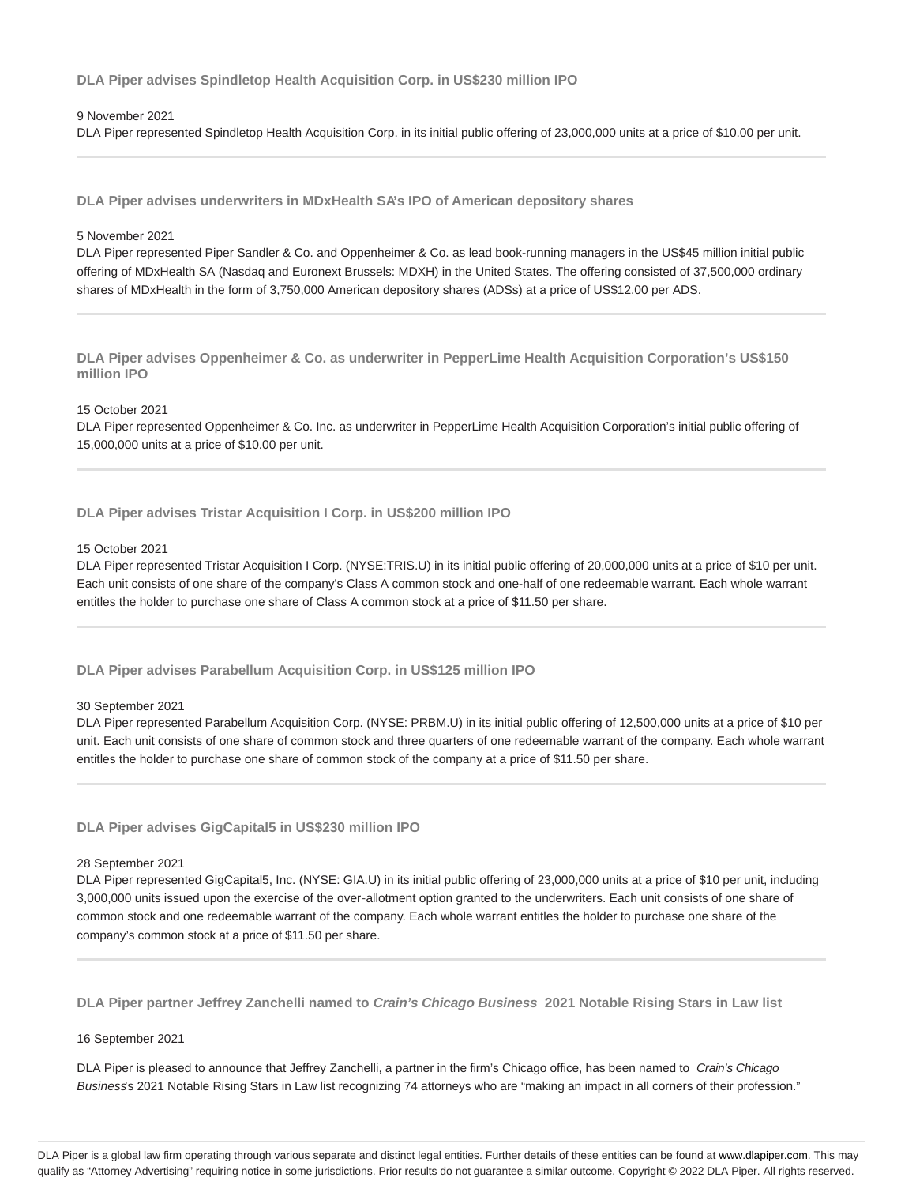**DLA Piper advises Spindletop Health Acquisition Corp. in US\$230 million IPO**

#### 9 November 2021

DLA Piper represented Spindletop Health Acquisition Corp. in its initial public offering of 23,000,000 units at a price of \$10.00 per unit.

**DLA Piper advises underwriters in MDxHealth SA's IPO of American depository shares**

## 5 November 2021

DLA Piper represented Piper Sandler & Co. and Oppenheimer & Co. as lead book-running managers in the US\$45 million initial public offering of MDxHealth SA (Nasdaq and Euronext Brussels: MDXH) in the United States. The offering consisted of 37,500,000 ordinary shares of MDxHealth in the form of 3,750,000 American depository shares (ADSs) at a price of US\$12.00 per ADS.

**DLA Piper advises Oppenheimer & Co. as underwriter in PepperLime Health Acquisition Corporation's US\$150 million IPO**

# 15 October 2021

DLA Piper represented Oppenheimer & Co. Inc. as underwriter in PepperLime Health Acquisition Corporation's initial public offering of 15,000,000 units at a price of \$10.00 per unit.

**DLA Piper advises Tristar Acquisition I Corp. in US\$200 million IPO**

#### 15 October 2021

DLA Piper represented Tristar Acquisition I Corp. (NYSE:TRIS.U) in its initial public offering of 20,000,000 units at a price of \$10 per unit. Each unit consists of one share of the company's Class A common stock and one-half of one redeemable warrant. Each whole warrant entitles the holder to purchase one share of Class A common stock at a price of \$11.50 per share.

**DLA Piper advises Parabellum Acquisition Corp. in US\$125 million IPO**

#### 30 September 2021

DLA Piper represented Parabellum Acquisition Corp. (NYSE: PRBM.U) in its initial public offering of 12,500,000 units at a price of \$10 per unit. Each unit consists of one share of common stock and three quarters of one redeemable warrant of the company. Each whole warrant entitles the holder to purchase one share of common stock of the company at a price of \$11.50 per share.

# **DLA Piper advises GigCapital5 in US\$230 million IPO**

#### 28 September 2021

DLA Piper represented GigCapital5, Inc. (NYSE: GIA.U) in its initial public offering of 23,000,000 units at a price of \$10 per unit, including 3,000,000 units issued upon the exercise of the over‑allotment option granted to the underwriters. Each unit consists of one share of common stock and one redeemable warrant of the company. Each whole warrant entitles the holder to purchase one share of the company's common stock at a price of \$11.50 per share.

**DLA Piper partner Jeffrey Zanchelli named to Crain's Chicago Business 2021 Notable Rising Stars in Law list**

#### 16 September 2021

DLA Piper is pleased to announce that Jeffrey Zanchelli, a partner in the firm's Chicago office, has been named to Crain's Chicago Business's 2021 Notable Rising Stars in Law list recognizing 74 attorneys who are "making an impact in all corners of their profession."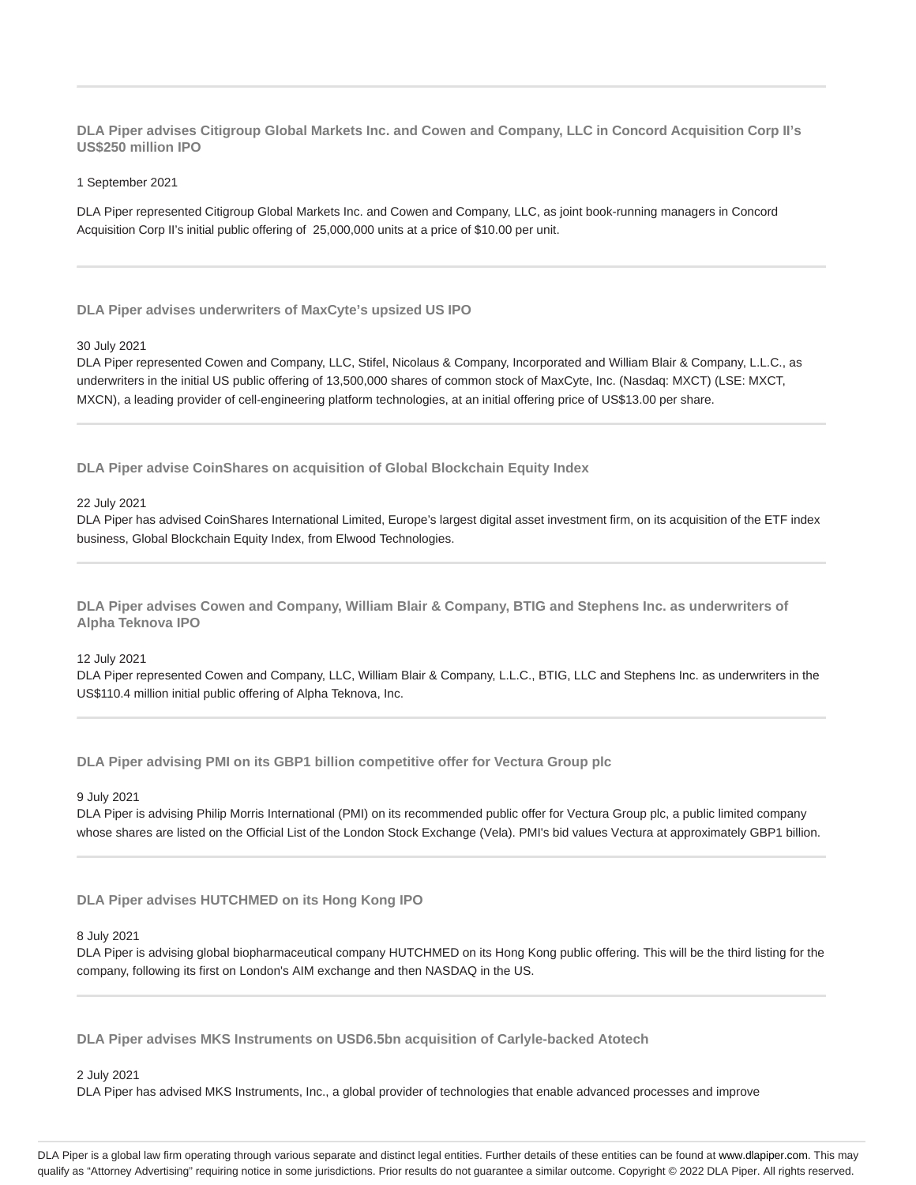**DLA Piper advises Citigroup Global Markets Inc. and Cowen and Company, LLC in Concord Acquisition Corp II's US\$250 million IPO**

1 September 2021

DLA Piper represented Citigroup Global Markets Inc. and Cowen and Company, LLC, as joint book-running managers in Concord Acquisition Corp II's initial public offering of 25,000,000 units at a price of \$10.00 per unit.

**DLA Piper advises underwriters of MaxCyte's upsized US IPO**

## 30 July 2021

DLA Piper represented Cowen and Company, LLC, Stifel, Nicolaus & Company, Incorporated and William Blair & Company, L.L.C., as underwriters in the initial US public offering of 13,500,000 shares of common stock of MaxCyte, Inc. (Nasdaq: MXCT) (LSE: MXCT, MXCN), a leading provider of cell-engineering platform technologies, at an initial offering price of US\$13.00 per share.

**DLA Piper advise CoinShares on acquisition of Global Blockchain Equity Index**

## 22 July 2021

DLA Piper has advised CoinShares International Limited, Europe's largest digital asset investment firm, on its acquisition of the ETF index business, Global Blockchain Equity Index, from Elwood Technologies.

**DLA Piper advises Cowen and Company, William Blair & Company, BTIG and Stephens Inc. as underwriters of Alpha Teknova IPO**

# 12 July 2021

DLA Piper represented Cowen and Company, LLC, William Blair & Company, L.L.C., BTIG, LLC and Stephens Inc. as underwriters in the US\$110.4 million initial public offering of Alpha Teknova, Inc.

**DLA Piper advising PMI on its GBP1 billion competitive offer for Vectura Group plc**

9 July 2021

DLA Piper is advising Philip Morris International (PMI) on its recommended public offer for Vectura Group plc, a public limited company whose shares are listed on the Official List of the London Stock Exchange (Vela). PMI's bid values Vectura at approximately GBP1 billion.

**DLA Piper advises HUTCHMED on its Hong Kong IPO**

# 8 July 2021

DLA Piper is advising global biopharmaceutical company HUTCHMED on its Hong Kong public offering. This will be the third listing for the company, following its first on London's AIM exchange and then NASDAQ in the US.

**DLA Piper advises MKS Instruments on USD6.5bn acquisition of Carlyle-backed Atotech**

#### 2 July 2021

DLA Piper has advised MKS Instruments, Inc., a global provider of technologies that enable advanced processes and improve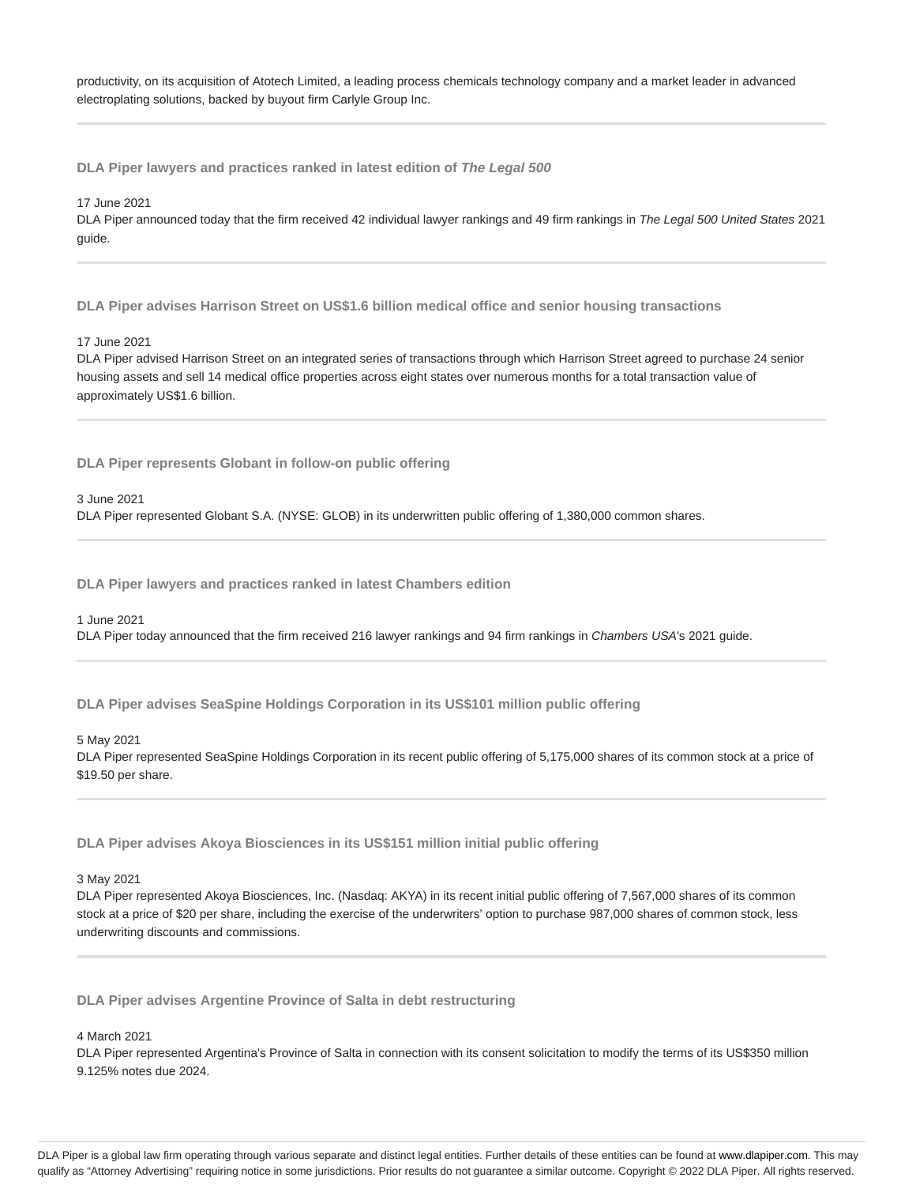productivity, on its acquisition of Atotech Limited, a leading process chemicals technology company and a market leader in advanced electroplating solutions, backed by buyout firm Carlyle Group Inc.

**DLA Piper lawyers and practices ranked in latest edition of The Legal 500**

17 June 2021

DLA Piper announced today that the firm received 42 individual lawyer rankings and 49 firm rankings in The Legal 500 United States 2021 guide.

**DLA Piper advises Harrison Street on US\$1.6 billion medical office and senior housing transactions**

#### 17 June 2021

DLA Piper advised Harrison Street on an integrated series of transactions through which Harrison Street agreed to purchase 24 senior housing assets and sell 14 medical office properties across eight states over numerous months for a total transaction value of approximately US\$1.6 billion.

**DLA Piper represents Globant in follow-on public offering**

3 June 2021

DLA Piper represented Globant S.A. (NYSE: GLOB) in its underwritten public offering of 1,380,000 common shares.

**DLA Piper lawyers and practices ranked in latest Chambers edition**

#### 1 June 2021

DLA Piper today announced that the firm received 216 lawyer rankings and 94 firm rankings in Chambers USA's 2021 guide.

**DLA Piper advises SeaSpine Holdings Corporation in its US\$101 million public offering**

# 5 May 2021

DLA Piper represented SeaSpine Holdings Corporation in its recent public offering of 5,175,000 shares of its common stock at a price of \$19.50 per share.

**DLA Piper advises Akoya Biosciences in its US\$151 million initial public offering**

## 3 May 2021

DLA Piper represented Akoya Biosciences, Inc. (Nasdaq: AKYA) in its recent initial public offering of 7,567,000 shares of its common stock at a price of \$20 per share, including the exercise of the underwriters' option to purchase 987,000 shares of common stock, less underwriting discounts and commissions.

**DLA Piper advises Argentine Province of Salta in debt restructuring**

#### 4 March 2021

DLA Piper represented Argentina's Province of Salta in connection with its consent solicitation to modify the terms of its US\$350 million 9.125% notes due 2024.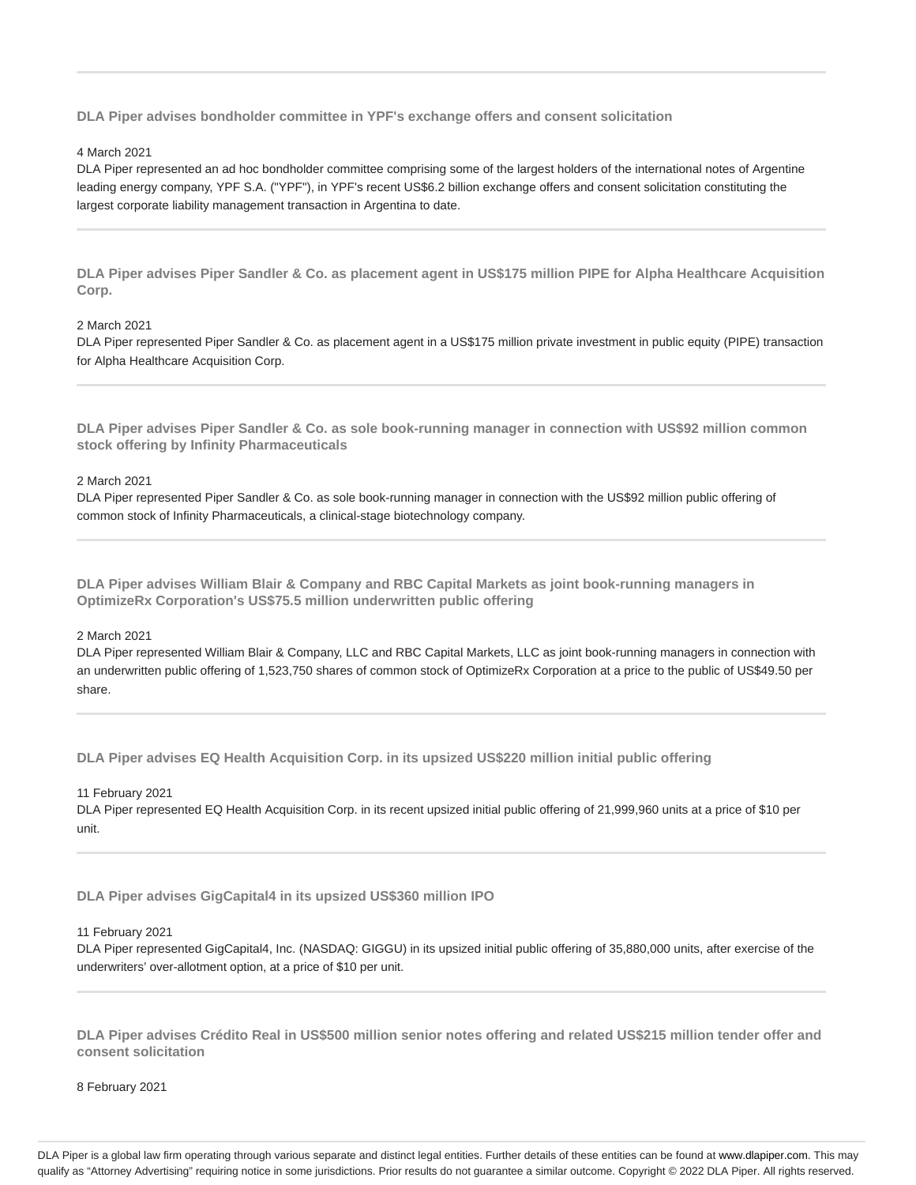**DLA Piper advises bondholder committee in YPF's exchange offers and consent solicitation**

#### 4 March 2021

DLA Piper represented an ad hoc bondholder committee comprising some of the largest holders of the international notes of Argentine leading energy company, YPF S.A. ("YPF"), in YPF's recent US\$6.2 billion exchange offers and consent solicitation constituting the largest corporate liability management transaction in Argentina to date.

**DLA Piper advises Piper Sandler & Co. as placement agent in US\$175 million PIPE for Alpha Healthcare Acquisition Corp.**

#### 2 March 2021

DLA Piper represented Piper Sandler & Co. as placement agent in a US\$175 million private investment in public equity (PIPE) transaction for Alpha Healthcare Acquisition Corp.

**DLA Piper advises Piper Sandler & Co. as sole book-running manager in connection with US\$92 million common stock offering by Infinity Pharmaceuticals**

#### 2 March 2021

DLA Piper represented Piper Sandler & Co. as sole book-running manager in connection with the US\$92 million public offering of common stock of Infinity Pharmaceuticals, a clinical-stage biotechnology company.

**DLA Piper advises William Blair & Company and RBC Capital Markets as joint book-running managers in OptimizeRx Corporation's US\$75.5 million underwritten public offering**

## 2 March 2021

DLA Piper represented William Blair & Company, LLC and RBC Capital Markets, LLC as joint book-running managers in connection with an underwritten public offering of 1,523,750 shares of common stock of OptimizeRx Corporation at a price to the public of US\$49.50 per share.

**DLA Piper advises EQ Health Acquisition Corp. in its upsized US\$220 million initial public offering**

11 February 2021

DLA Piper represented EQ Health Acquisition Corp. in its recent upsized initial public offering of 21,999,960 units at a price of \$10 per unit.

**DLA Piper advises GigCapital4 in its upsized US\$360 million IPO**

#### 11 February 2021

DLA Piper represented GigCapital4, Inc. (NASDAQ: GIGGU) in its upsized initial public offering of 35,880,000 units, after exercise of the underwriters' over-allotment option, at a price of \$10 per unit.

**DLA Piper advises Crédito Real in US\$500 million senior notes offering and related US\$215 million tender offer and consent solicitation**

8 February 2021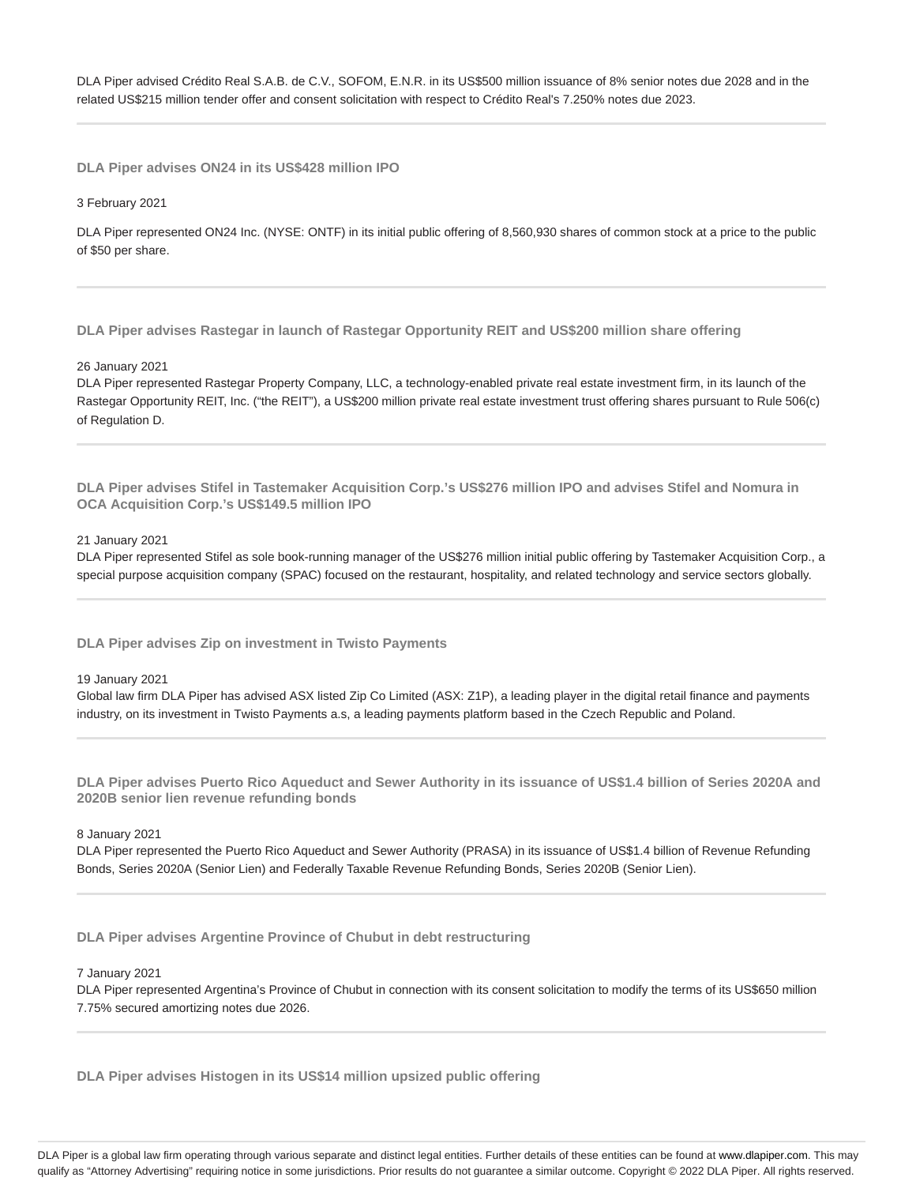DLA Piper advised Crédito Real S.A.B. de C.V., SOFOM, E.N.R. in its US\$500 million issuance of 8% senior notes due 2028 and in the related US\$215 million tender offer and consent solicitation with respect to Crédito Real's 7.250% notes due 2023.

**DLA Piper advises ON24 in its US\$428 million IPO**

3 February 2021

DLA Piper represented ON24 Inc. (NYSE: ONTF) in its initial public offering of 8,560,930 shares of common stock at a price to the public of \$50 per share.

**DLA Piper advises Rastegar in launch of Rastegar Opportunity REIT and US\$200 million share offering**

#### 26 January 2021

DLA Piper represented Rastegar Property Company, LLC, a technology-enabled private real estate investment firm, in its launch of the Rastegar Opportunity REIT, Inc. ("the REIT"), a US\$200 million private real estate investment trust offering shares pursuant to Rule 506(c) of Regulation D.

**DLA Piper advises Stifel in Tastemaker Acquisition Corp.'s US\$276 million IPO and advises Stifel and Nomura in OCA Acquisition Corp.'s US\$149.5 million IPO**

## 21 January 2021

DLA Piper represented Stifel as sole book-running manager of the US\$276 million initial public offering by Tastemaker Acquisition Corp., a special purpose acquisition company (SPAC) focused on the restaurant, hospitality, and related technology and service sectors globally.

**DLA Piper advises Zip on investment in Twisto Payments**

#### 19 January 2021

Global law firm DLA Piper has advised ASX listed Zip Co Limited (ASX: Z1P), a leading player in the digital retail finance and payments industry, on its investment in Twisto Payments a.s, a leading payments platform based in the Czech Republic and Poland.

**DLA Piper advises Puerto Rico Aqueduct and Sewer Authority in its issuance of US\$1.4 billion of Series 2020A and 2020B senior lien revenue refunding bonds**

#### 8 January 2021

DLA Piper represented the Puerto Rico Aqueduct and Sewer Authority (PRASA) in its issuance of US\$1.4 billion of Revenue Refunding Bonds, Series 2020A (Senior Lien) and Federally Taxable Revenue Refunding Bonds, Series 2020B (Senior Lien).

**DLA Piper advises Argentine Province of Chubut in debt restructuring**

#### 7 January 2021

DLA Piper represented Argentina's Province of Chubut in connection with its consent solicitation to modify the terms of its US\$650 million 7.75% secured amortizing notes due 2026.

**DLA Piper advises Histogen in its US\$14 million upsized public offering**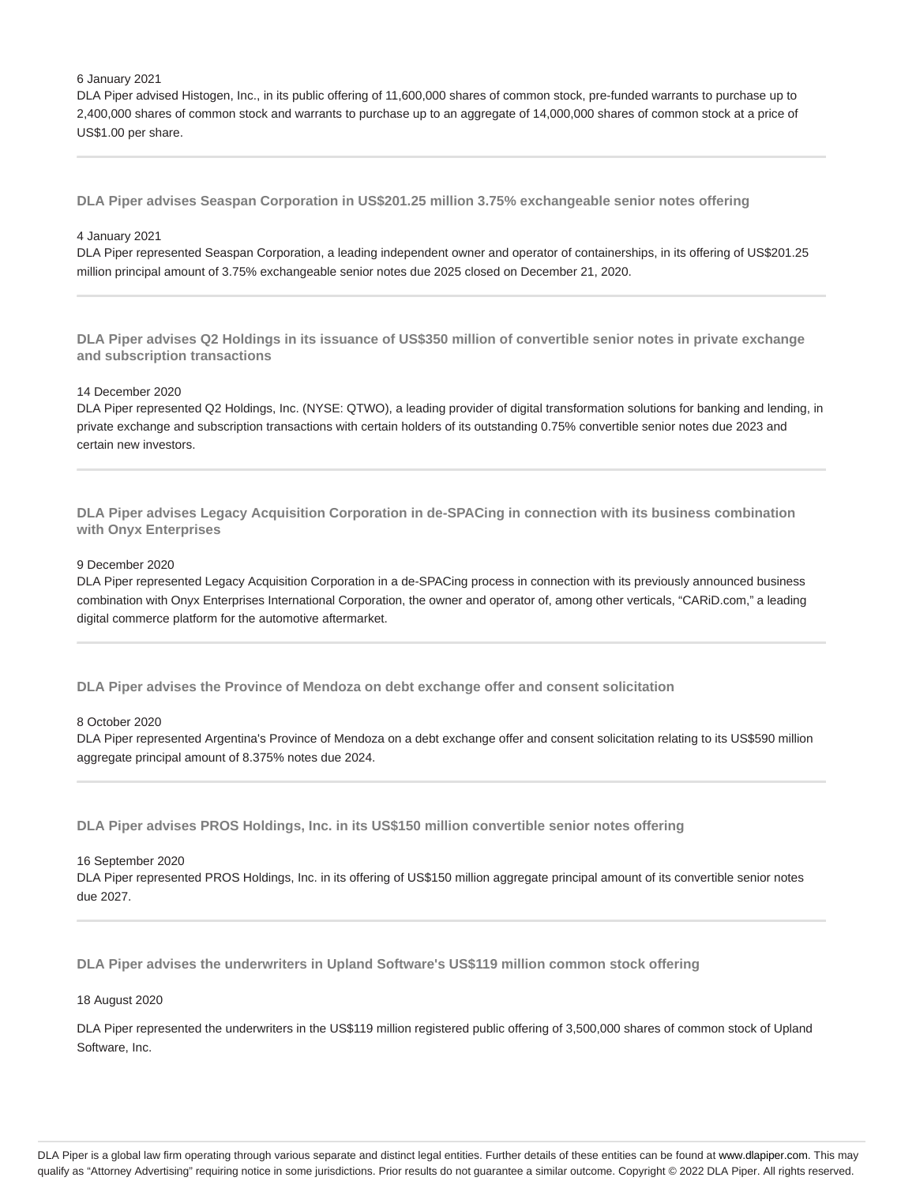#### 6 January 2021

DLA Piper advised Histogen, Inc., in its public offering of 11,600,000 shares of common stock, pre-funded warrants to purchase up to 2,400,000 shares of common stock and warrants to purchase up to an aggregate of 14,000,000 shares of common stock at a price of US\$1.00 per share.

**DLA Piper advises Seaspan Corporation in US\$201.25 million 3.75% exchangeable senior notes offering**

# 4 January 2021

DLA Piper represented Seaspan Corporation, a leading independent owner and operator of containerships, in its offering of US\$201.25 million principal amount of 3.75% exchangeable senior notes due 2025 closed on December 21, 2020.

**DLA Piper advises Q2 Holdings in its issuance of US\$350 million of convertible senior notes in private exchange and subscription transactions**

# 14 December 2020

DLA Piper represented Q2 Holdings, Inc. (NYSE: QTWO), a leading provider of digital transformation solutions for banking and lending, in private exchange and subscription transactions with certain holders of its outstanding 0.75% convertible senior notes due 2023 and certain new investors.

**DLA Piper advises Legacy Acquisition Corporation in de-SPACing in connection with its business combination with Onyx Enterprises**

#### 9 December 2020

DLA Piper represented Legacy Acquisition Corporation in a de-SPACing process in connection with its previously announced business combination with Onyx Enterprises International Corporation, the owner and operator of, among other verticals, "CARiD.com," a leading digital commerce platform for the automotive aftermarket.

**DLA Piper advises the Province of Mendoza on debt exchange offer and consent solicitation**

#### 8 October 2020

DLA Piper represented Argentina's Province of Mendoza on a debt exchange offer and consent solicitation relating to its US\$590 million aggregate principal amount of 8.375% notes due 2024.

**DLA Piper advises PROS Holdings, Inc. in its US\$150 million convertible senior notes offering**

#### 16 September 2020

DLA Piper represented PROS Holdings, Inc. in its offering of US\$150 million aggregate principal amount of its convertible senior notes due 2027.

**DLA Piper advises the underwriters in Upland Software's US\$119 million common stock offering**

## 18 August 2020

DLA Piper represented the underwriters in the US\$119 million registered public offering of 3,500,000 shares of common stock of Upland Software, Inc.